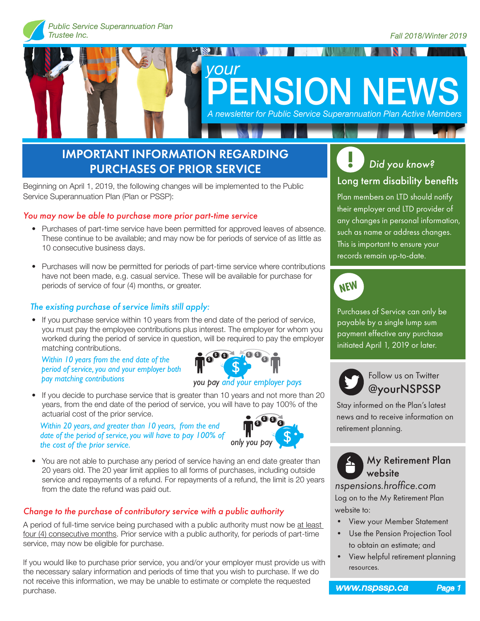

# **The Comment of Comment of Comment** *your* **ENSION NEWS** *A newsletter for Public Service Superannuation Plan Active Members*

### IMPORTANT INFORMATION REGARDING PURCHASES OF PRIOR SERVICE

Beginning on April 1, 2019, the following changes will be implemented to the Public Service Superannuation Plan (Plan or PSSP):

#### *You may now be able to purchase more prior part-time service*

- Purchases of part-time service have been permitted for approved leaves of absence. These continue to be available; and may now be for periods of service of as little as 10 consecutive business days.
- Purchases will now be permitted for periods of part-time service where contributions have not been made, e.g. casual service. These will be available for purchase for periods of service of four (4) months, or greater.

#### *The existing purchase of service limits still apply:*

• If you purchase service within 10 years from the end date of the period of service, you must pay the employee contributions plus interest. The employer for whom you worked during the period of service in question, will be required to pay the employer matching contributions.

*Within 10 years from the end date of the period of service, you and your employer both*  **pay matching contributions** Follow us on Twitter



*you pay and your employer pays*

• If you decide to purchase service that is greater than 10 years and not more than 20 years, from the end date of the period of service, you will have to pay 100% of the actuarial cost of the prior service.

*Within 20 years, and greater than 10 years, from the end date of the period of service, you will have to pay 100% of the cost of the prior service.*



• You are not able to purchase any period of service having an end date greater than 20 years old. The 20 year limit applies to all forms of purchases, including outside service and repayments of a refund. For repayments of a refund, the limit is 20 years from the date the refund was paid out.

#### *Change to the purchase of contributory service with a public authority*

A period of full-time service being purchased with a public authority must now be at least four (4) consecutive months. Prior service with a public authority, for periods of part-time service, may now be eligible for purchase.

If you would like to purchase prior service, you and/or your employer must provide us with the necessary salary information and periods of time that you wish to purchase. If we do not receive this information, we may be unable to estimate or complete the requested purchase.



Plan members on LTD should notify their employer and LTD provider of any changes in personal information, such as name or address changes. This is important to ensure your records remain up-to-date.



Purchases of Service can only be payable by a single lump sum payment effective any purchase initiated April 1, 2019 or later.



# @yourNSPSSP

Stay informed on the Plan's latest news and to receive information on retirement planning.



*nspensions.hroffice.com* Log on to the My Retirement Plan website to:

- View your Member Statement
- Use the Pension Projection Tool to obtain an estimate; and
- View helpful retirement planning resources.